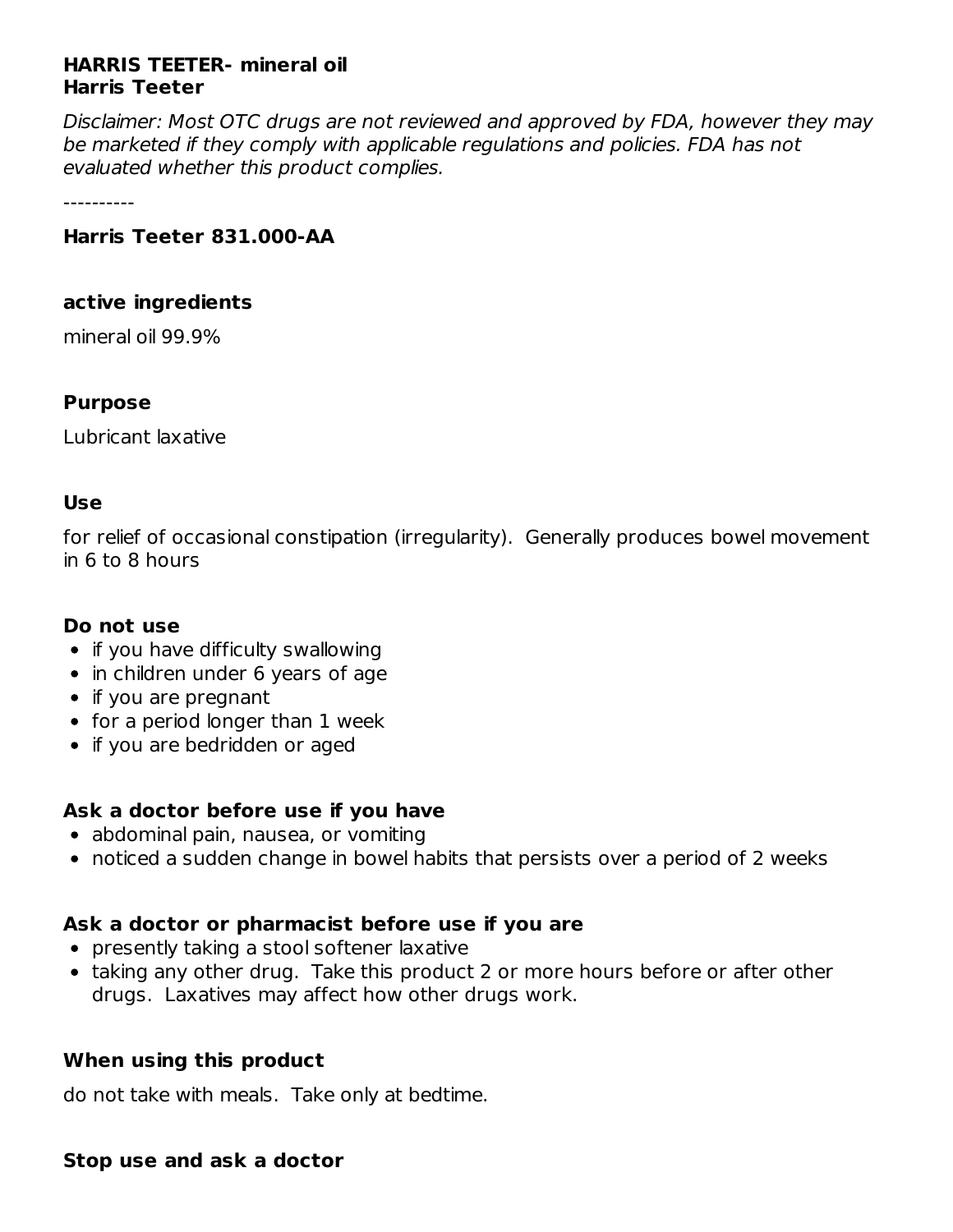## **HARRIS TEETER- mineral oil Harris Teeter**

Disclaimer: Most OTC drugs are not reviewed and approved by FDA, however they may be marketed if they comply with applicable regulations and policies. FDA has not evaluated whether this product complies.

----------

## **Harris Teeter 831.000-AA**

#### **active ingredients**

mineral oil 99.9%

## **Purpose**

Lubricant laxative

#### **Use**

for relief of occasional constipation (irregularity). Generally produces bowel movement in 6 to 8 hours

## **Do not use**

- if you have difficulty swallowing
- in children under 6 years of age
- if you are pregnant
- for a period longer than 1 week
- if you are bedridden or aged

## **Ask a doctor before use if you have**

- abdominal pain, nausea, or vomiting
- noticed a sudden change in bowel habits that persists over a period of 2 weeks

## **Ask a doctor or pharmacist before use if you are**

- presently taking a stool softener laxative
- taking any other drug. Take this product 2 or more hours before or after other drugs. Laxatives may affect how other drugs work.

#### **When using this product**

do not take with meals. Take only at bedtime.

#### **Stop use and ask a doctor**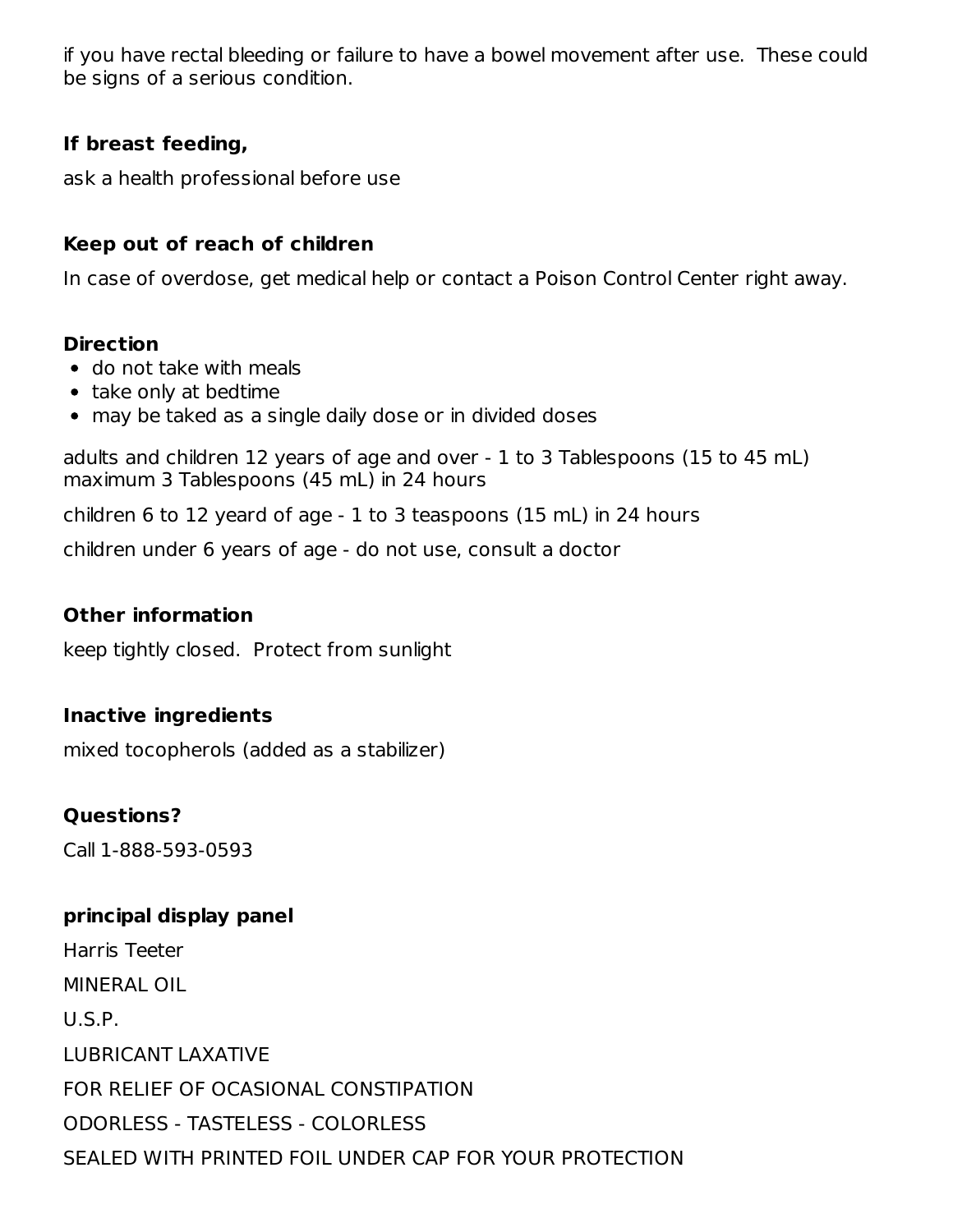if you have rectal bleeding or failure to have a bowel movement after use. These could be signs of a serious condition.

## **If breast feeding,**

ask a health professional before use

## **Keep out of reach of children**

In case of overdose, get medical help or contact a Poison Control Center right away.

#### **Direction**

- do not take with meals
- take only at bedtime
- may be taked as a single daily dose or in divided doses

adults and children 12 years of age and over - 1 to 3 Tablespoons (15 to 45 mL) maximum 3 Tablespoons (45 mL) in 24 hours

children 6 to 12 yeard of age - 1 to 3 teaspoons (15 mL) in 24 hours

children under 6 years of age - do not use, consult a doctor

## **Other information**

keep tightly closed. Protect from sunlight

#### **Inactive ingredients**

mixed tocopherols (added as a stabilizer)

#### **Questions?**

Call 1-888-593-0593

#### **principal display panel**

Harris Teeter MINERAL OIL U.S.P. LUBRICANT LAXATIVE FOR RELIEF OF OCASIONAL CONSTIPATION ODORLESS - TASTELESS - COLORLESS SEALED WITH PRINTED FOIL UNDER CAP FOR YOUR PROTECTION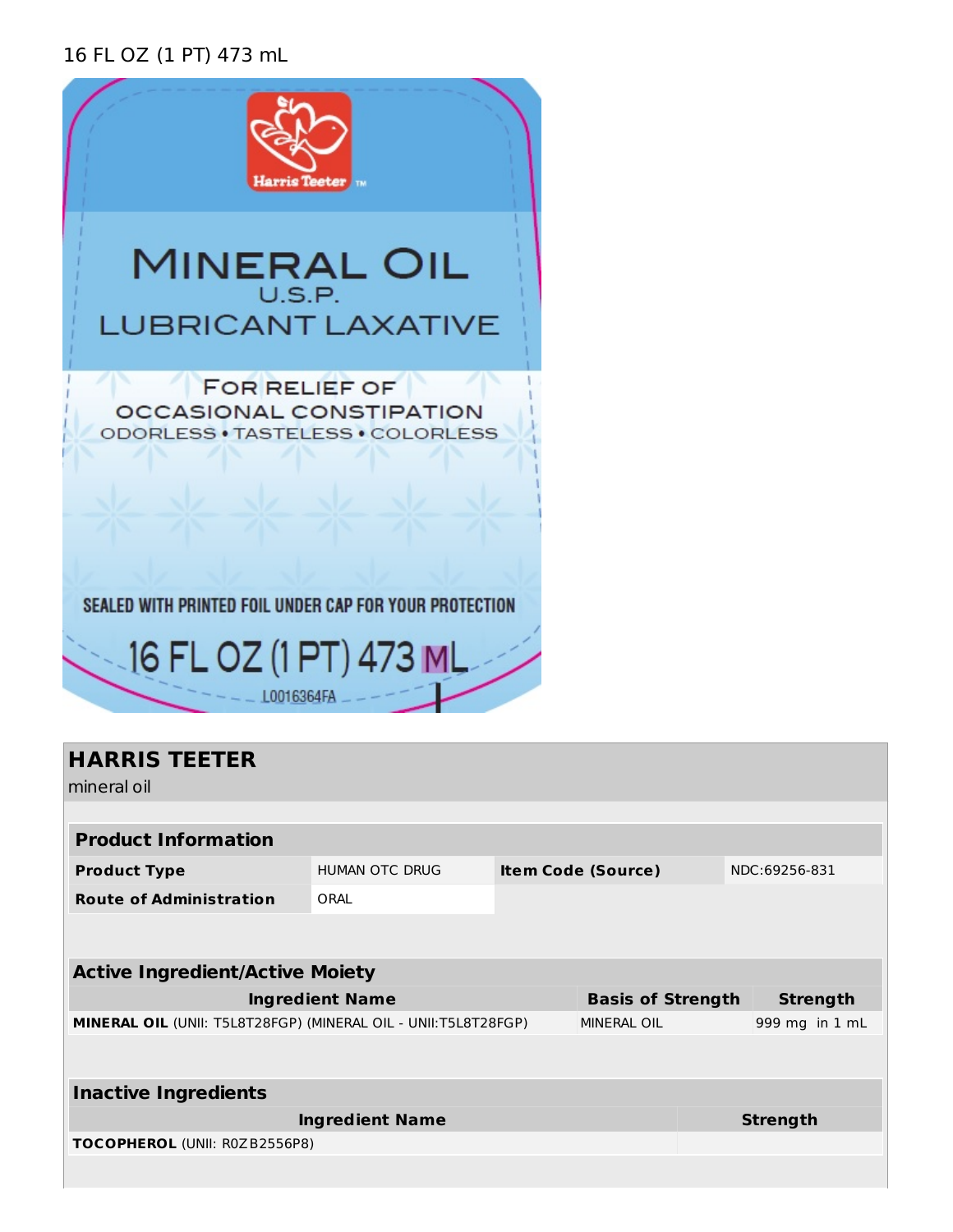## 16 FL OZ (1 PT) 473 mL



 $LOO16364FA$  \_ -

## **HARRIS TEETER**

mineral oil

| .                                                              |                                                                       |  |                    |  |                |
|----------------------------------------------------------------|-----------------------------------------------------------------------|--|--------------------|--|----------------|
|                                                                |                                                                       |  |                    |  |                |
| <b>Product Information</b>                                     |                                                                       |  |                    |  |                |
| <b>Product Type</b>                                            | <b>HUMAN OTC DRUG</b><br><b>Item Code (Source)</b>                    |  | NDC:69256-831      |  |                |
| <b>Route of Administration</b>                                 | ORAL                                                                  |  |                    |  |                |
|                                                                |                                                                       |  |                    |  |                |
|                                                                |                                                                       |  |                    |  |                |
| <b>Active Ingredient/Active Moiety</b>                         |                                                                       |  |                    |  |                |
|                                                                | <b>Ingredient Name</b><br><b>Basis of Strength</b><br><b>Strength</b> |  |                    |  |                |
| MINERAL OIL (UNII: T5L8T28FGP) (MINERAL OIL - UNII:T5L8T28FGP) |                                                                       |  | <b>MINERAL OIL</b> |  | 999 mg in 1 mL |
|                                                                |                                                                       |  |                    |  |                |
|                                                                |                                                                       |  |                    |  |                |
| <b>Inactive Ingredients</b>                                    |                                                                       |  |                    |  |                |
| <b>Ingredient Name</b>                                         |                                                                       |  | <b>Strength</b>    |  |                |
|                                                                |                                                                       |  |                    |  |                |
| TOCOPHEROL (UNII: R0ZB2556P8)                                  |                                                                       |  |                    |  |                |
|                                                                |                                                                       |  |                    |  |                |